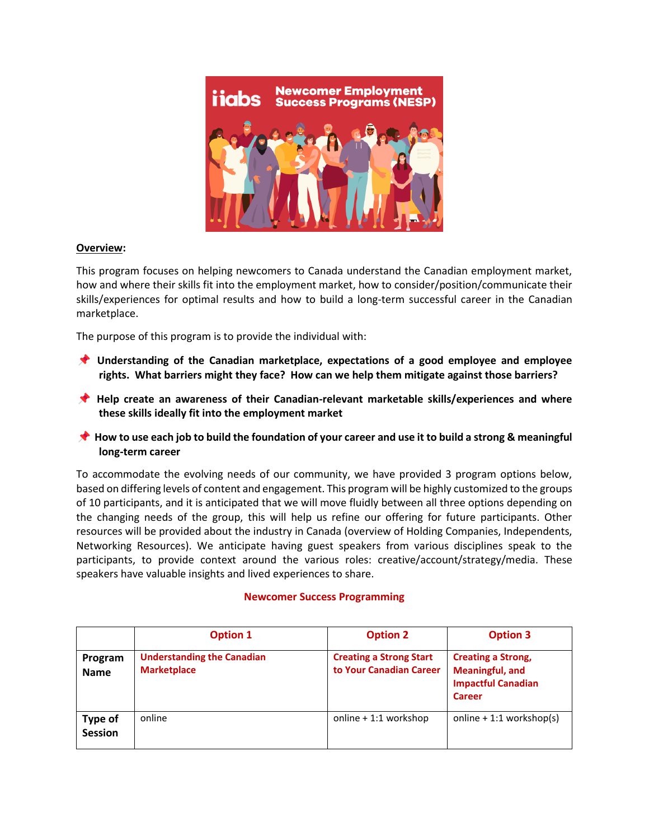

#### **Overview:**

This program focuses on helping newcomers to Canada understand the Canadian employment market, how and where their skills fit into the employment market, how to consider/position/communicate their skills/experiences for optimal results and how to build a long-term successful career in the Canadian marketplace.

The purpose of this program is to provide the individual with:

- **Understanding of the Canadian marketplace, expectations of a good employee and employee rights. What barriers might they face? How can we help them mitigate against those barriers?**
- **Help create an awareness of their Canadian-relevant marketable skills/experiences and where these skills ideally fit into the employment market**
- **★** How to use each job to build the foundation of your career and use it to build a strong & meaningful **long-term career**

To accommodate the evolving needs of our community, we have provided 3 program options below, based on differing levels of content and engagement. This program will be highly customized to the groups of 10 participants, and it is anticipated that we will move fluidly between all three options depending on the changing needs of the group, this will help us refine our offering for future participants. Other resources will be provided about the industry in Canada (overview of Holding Companies, Independents, Networking Resources). We anticipate having guest speakers from various disciplines speak to the participants, to provide context around the various roles: creative/account/strategy/media. These speakers have valuable insights and lived experiences to share.

|                           | <b>Option 1</b>                                         | <b>Option 2</b>                                           | <b>Option 3</b>                                                                                   |
|---------------------------|---------------------------------------------------------|-----------------------------------------------------------|---------------------------------------------------------------------------------------------------|
| Program<br><b>Name</b>    | <b>Understanding the Canadian</b><br><b>Marketplace</b> | <b>Creating a Strong Start</b><br>to Your Canadian Career | <b>Creating a Strong,</b><br><b>Meaningful, and</b><br><b>Impactful Canadian</b><br><b>Career</b> |
| Type of<br><b>Session</b> | online                                                  | online $+1:1$ workshop                                    | online $+1:1$ workshop(s)                                                                         |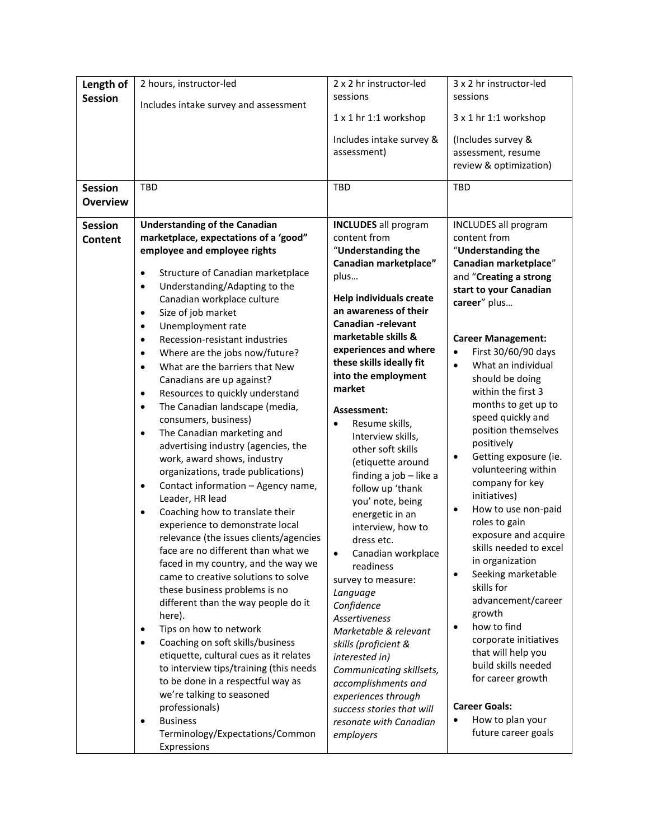| Length of       | 2 hours, instructor-led                                                      | 2 x 2 hr instructor-led        | 3 x 2 hr instructor-led            |
|-----------------|------------------------------------------------------------------------------|--------------------------------|------------------------------------|
| <b>Session</b>  |                                                                              | sessions                       | sessions                           |
|                 | Includes intake survey and assessment                                        | 1 x 1 hr 1:1 workshop          | 3 x 1 hr 1:1 workshop              |
|                 |                                                                              | Includes intake survey &       | (Includes survey &                 |
|                 |                                                                              | assessment)                    | assessment, resume                 |
|                 |                                                                              |                                | review & optimization)             |
|                 |                                                                              |                                |                                    |
| <b>Session</b>  | <b>TBD</b>                                                                   | <b>TBD</b>                     | <b>TBD</b>                         |
| <b>Overview</b> |                                                                              |                                |                                    |
| <b>Session</b>  | <b>Understanding of the Canadian</b>                                         | <b>INCLUDES</b> all program    | <b>INCLUDES all program</b>        |
| <b>Content</b>  | marketplace, expectations of a 'good"                                        | content from                   | content from                       |
|                 | employee and employee rights                                                 | "Understanding the             | "Understanding the                 |
|                 | Structure of Canadian marketplace<br>$\bullet$                               | Canadian marketplace"          | Canadian marketplace"              |
|                 | Understanding/Adapting to the<br>$\bullet$                                   | plus                           | and "Creating a strong             |
|                 | Canadian workplace culture                                                   | <b>Help individuals create</b> | start to your Canadian             |
|                 | Size of job market<br>$\bullet$                                              | an awareness of their          | career" plus                       |
|                 | Unemployment rate<br>$\bullet$                                               | <b>Canadian -relevant</b>      |                                    |
|                 | Recession-resistant industries<br>$\bullet$                                  | marketable skills &            | <b>Career Management:</b>          |
|                 | Where are the jobs now/future?<br>$\bullet$                                  | experiences and where          | First 30/60/90 days<br>$\bullet$   |
|                 | What are the barriers that New<br>$\bullet$                                  | these skills ideally fit       | What an individual<br>$\bullet$    |
|                 | Canadians are up against?                                                    | into the employment            | should be doing                    |
|                 | Resources to quickly understand<br>$\bullet$                                 | market                         | within the first 3                 |
|                 | The Canadian landscape (media,<br>$\bullet$                                  | Assessment:                    | months to get up to                |
|                 | consumers, business)                                                         | Resume skills,<br>$\bullet$    | speed quickly and                  |
|                 | The Canadian marketing and<br>$\bullet$                                      | Interview skills,              | position themselves                |
|                 | advertising industry (agencies, the                                          | other soft skills              | positively                         |
|                 | work, award shows, industry                                                  | (etiquette around              | Getting exposure (ie.<br>$\bullet$ |
|                 | organizations, trade publications)                                           | finding a job - like a         | volunteering within                |
|                 | Contact information - Agency name,<br>٠                                      | follow up 'thank               | company for key<br>initiatives)    |
|                 | Leader, HR lead                                                              | you' note, being               | How to use non-paid                |
|                 | Coaching how to translate their<br>$\bullet$                                 | energetic in an                | $\bullet$<br>roles to gain         |
|                 | experience to demonstrate local                                              | interview, how to              | exposure and acquire               |
|                 | relevance (the issues clients/agencies<br>face are no different than what we | dress etc.                     | skills needed to excel             |
|                 | faced in my country, and the way we                                          | Canadian workplace             | in organization                    |
|                 | came to creative solutions to solve                                          | readiness                      | Seeking marketable<br>$\bullet$    |
|                 | these business problems is no                                                | survey to measure:             | skills for                         |
|                 | different than the way people do it                                          | Language<br>Confidence         | advancement/career                 |
|                 | here).                                                                       | Assertiveness                  | growth                             |
|                 | Tips on how to network<br>$\bullet$                                          | Marketable & relevant          | how to find<br>$\bullet$           |
|                 | Coaching on soft skills/business<br>$\bullet$                                | skills (proficient &           | corporate initiatives              |
|                 | etiquette, cultural cues as it relates                                       | interested in)                 | that will help you                 |
|                 | to interview tips/training (this needs                                       | Communicating skillsets,       | build skills needed                |
|                 | to be done in a respectful way as                                            | accomplishments and            | for career growth                  |
|                 | we're talking to seasoned                                                    | experiences through            |                                    |
|                 | professionals)                                                               | success stories that will      | <b>Career Goals:</b>               |
|                 | <b>Business</b><br>٠                                                         | resonate with Canadian         | How to plan your                   |
|                 | Terminology/Expectations/Common<br>Expressions                               | employers                      | future career goals                |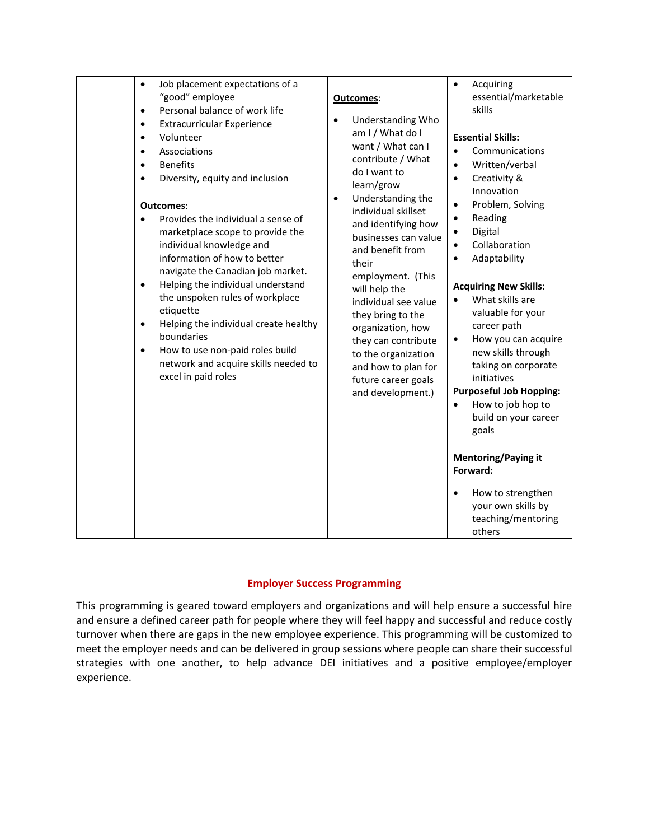| Job placement expectations of a<br>$\bullet$                                                                                                                                                                                                                                                                                                                                                                                                                                                                                                                                                                                                                                                                                                     |                                                                                                                                                                                                                                                                                                                                                                                                                                                                                                              | Acquiring<br>$\bullet$                                                                                                                                                                                                                                                                                                                                                                                                                                                                                                                                                                                                                                                                    |
|--------------------------------------------------------------------------------------------------------------------------------------------------------------------------------------------------------------------------------------------------------------------------------------------------------------------------------------------------------------------------------------------------------------------------------------------------------------------------------------------------------------------------------------------------------------------------------------------------------------------------------------------------------------------------------------------------------------------------------------------------|--------------------------------------------------------------------------------------------------------------------------------------------------------------------------------------------------------------------------------------------------------------------------------------------------------------------------------------------------------------------------------------------------------------------------------------------------------------------------------------------------------------|-------------------------------------------------------------------------------------------------------------------------------------------------------------------------------------------------------------------------------------------------------------------------------------------------------------------------------------------------------------------------------------------------------------------------------------------------------------------------------------------------------------------------------------------------------------------------------------------------------------------------------------------------------------------------------------------|
| "good" employee<br>Personal balance of work life<br>$\bullet$<br><b>Extracurricular Experience</b><br>$\bullet$<br>Volunteer<br>$\bullet$<br>Associations<br>$\bullet$<br><b>Benefits</b><br>$\bullet$<br>Diversity, equity and inclusion<br>$\bullet$<br>Outcomes:<br>Provides the individual a sense of<br>$\bullet$<br>marketplace scope to provide the<br>individual knowledge and<br>information of how to better<br>navigate the Canadian job market.<br>Helping the individual understand<br>$\bullet$<br>the unspoken rules of workplace<br>etiquette<br>Helping the individual create healthy<br>$\bullet$<br>boundaries<br>How to use non-paid roles build<br>$\bullet$<br>network and acquire skills needed to<br>excel in paid roles | Outcomes:<br><b>Understanding Who</b><br>$\bullet$<br>am I / What do I<br>want / What can I<br>contribute / What<br>do I want to<br>learn/grow<br>Understanding the<br>$\bullet$<br>individual skillset<br>and identifying how<br>businesses can value<br>and benefit from<br>their<br>employment. (This<br>will help the<br>individual see value<br>they bring to the<br>organization, how<br>they can contribute<br>to the organization<br>and how to plan for<br>future career goals<br>and development.) | essential/marketable<br>skills<br><b>Essential Skills:</b><br>Communications<br>$\bullet$<br>Written/verbal<br>$\bullet$<br>Creativity &<br>$\bullet$<br>Innovation<br>Problem, Solving<br>$\bullet$<br>Reading<br>$\bullet$<br>Digital<br>Collaboration<br>$\bullet$<br>Adaptability<br><b>Acquiring New Skills:</b><br>What skills are<br>valuable for your<br>career path<br>How you can acquire<br>$\bullet$<br>new skills through<br>taking on corporate<br>initiatives<br><b>Purposeful Job Hopping:</b><br>How to job hop to<br>build on your career<br>goals<br><b>Mentoring/Paying it</b><br>Forward:<br>How to strengthen<br>your own skills by<br>teaching/mentoring<br>others |

#### **Employer Success Programming**

This programming is geared toward employers and organizations and will help ensure a successful hire and ensure a defined career path for people where they will feel happy and successful and reduce costly turnover when there are gaps in the new employee experience. This programming will be customized to meet the employer needs and can be delivered in group sessions where people can share their successful strategies with one another, to help advance DEI initiatives and a positive employee/employer experience.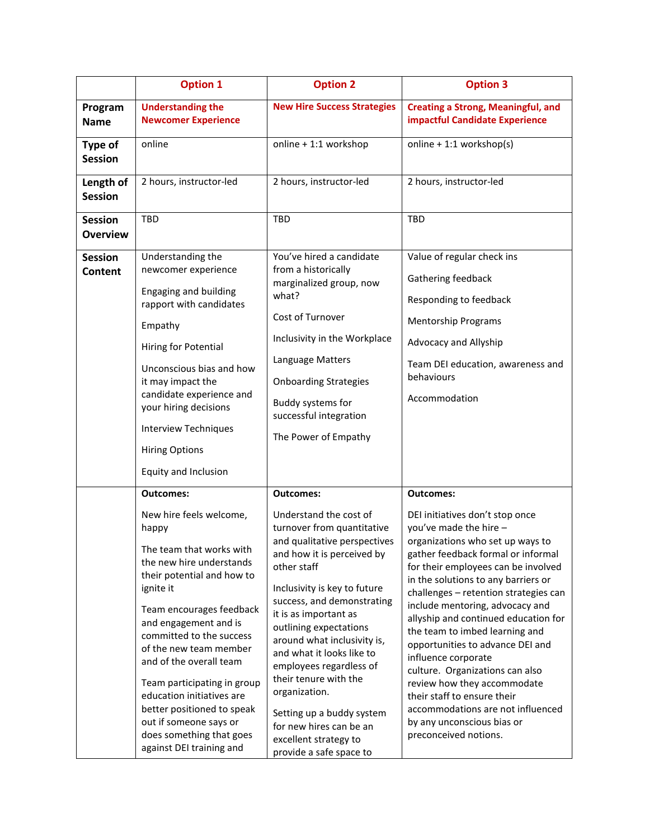|                                   | <b>Option 1</b>                                                                                                                                                                                                                                                                                                                                                                                                                                                           | <b>Option 2</b>                                                                                                                                                                                                                                                                                                                                                                                                                                                                                                     | <b>Option 3</b>                                                                                                                                                                                                                                                                                                                                                                                                                                                                                                                                                                                                                                     |
|-----------------------------------|---------------------------------------------------------------------------------------------------------------------------------------------------------------------------------------------------------------------------------------------------------------------------------------------------------------------------------------------------------------------------------------------------------------------------------------------------------------------------|---------------------------------------------------------------------------------------------------------------------------------------------------------------------------------------------------------------------------------------------------------------------------------------------------------------------------------------------------------------------------------------------------------------------------------------------------------------------------------------------------------------------|-----------------------------------------------------------------------------------------------------------------------------------------------------------------------------------------------------------------------------------------------------------------------------------------------------------------------------------------------------------------------------------------------------------------------------------------------------------------------------------------------------------------------------------------------------------------------------------------------------------------------------------------------------|
| Program<br><b>Name</b>            | <b>Understanding the</b><br><b>Newcomer Experience</b>                                                                                                                                                                                                                                                                                                                                                                                                                    | <b>New Hire Success Strategies</b>                                                                                                                                                                                                                                                                                                                                                                                                                                                                                  | <b>Creating a Strong, Meaningful, and</b><br>impactful Candidate Experience                                                                                                                                                                                                                                                                                                                                                                                                                                                                                                                                                                         |
| <b>Type of</b><br><b>Session</b>  | online                                                                                                                                                                                                                                                                                                                                                                                                                                                                    | online + 1:1 workshop                                                                                                                                                                                                                                                                                                                                                                                                                                                                                               | online + $1:1$ workshop(s)                                                                                                                                                                                                                                                                                                                                                                                                                                                                                                                                                                                                                          |
| Length of<br><b>Session</b>       | 2 hours, instructor-led                                                                                                                                                                                                                                                                                                                                                                                                                                                   | 2 hours, instructor-led                                                                                                                                                                                                                                                                                                                                                                                                                                                                                             | 2 hours, instructor-led                                                                                                                                                                                                                                                                                                                                                                                                                                                                                                                                                                                                                             |
| <b>Session</b><br><b>Overview</b> | <b>TBD</b>                                                                                                                                                                                                                                                                                                                                                                                                                                                                | <b>TBD</b>                                                                                                                                                                                                                                                                                                                                                                                                                                                                                                          | <b>TBD</b>                                                                                                                                                                                                                                                                                                                                                                                                                                                                                                                                                                                                                                          |
| <b>Session</b><br>Content         | Understanding the<br>newcomer experience<br>Engaging and building<br>rapport with candidates<br>Empathy<br>Hiring for Potential<br>Unconscious bias and how<br>it may impact the<br>candidate experience and<br>your hiring decisions<br><b>Interview Techniques</b><br><b>Hiring Options</b><br>Equity and Inclusion                                                                                                                                                     | You've hired a candidate<br>from a historically<br>marginalized group, now<br>what?<br>Cost of Turnover<br>Inclusivity in the Workplace<br>Language Matters<br><b>Onboarding Strategies</b><br>Buddy systems for<br>successful integration<br>The Power of Empathy                                                                                                                                                                                                                                                  | Value of regular check ins<br>Gathering feedback<br>Responding to feedback<br><b>Mentorship Programs</b><br>Advocacy and Allyship<br>Team DEI education, awareness and<br>behaviours<br>Accommodation                                                                                                                                                                                                                                                                                                                                                                                                                                               |
|                                   | <b>Outcomes:</b><br>New hire feels welcome,<br>happy<br>The team that works with<br>the new hire understands<br>their potential and how to<br>ignite it<br>Team encourages feedback<br>and engagement and is<br>committed to the success<br>of the new team member<br>and of the overall team<br>Team participating in group<br>education initiatives are<br>better positioned to speak<br>out if someone says or<br>does something that goes<br>against DEI training and | <b>Outcomes:</b><br>Understand the cost of<br>turnover from quantitative<br>and qualitative perspectives<br>and how it is perceived by<br>other staff<br>Inclusivity is key to future<br>success, and demonstrating<br>it is as important as<br>outlining expectations<br>around what inclusivity is,<br>and what it looks like to<br>employees regardless of<br>their tenure with the<br>organization.<br>Setting up a buddy system<br>for new hires can be an<br>excellent strategy to<br>provide a safe space to | <b>Outcomes:</b><br>DEI initiatives don't stop once<br>you've made the hire -<br>organizations who set up ways to<br>gather feedback formal or informal<br>for their employees can be involved<br>in the solutions to any barriers or<br>challenges - retention strategies can<br>include mentoring, advocacy and<br>allyship and continued education for<br>the team to imbed learning and<br>opportunities to advance DEI and<br>influence corporate<br>culture. Organizations can also<br>review how they accommodate<br>their staff to ensure their<br>accommodations are not influenced<br>by any unconscious bias or<br>preconceived notions. |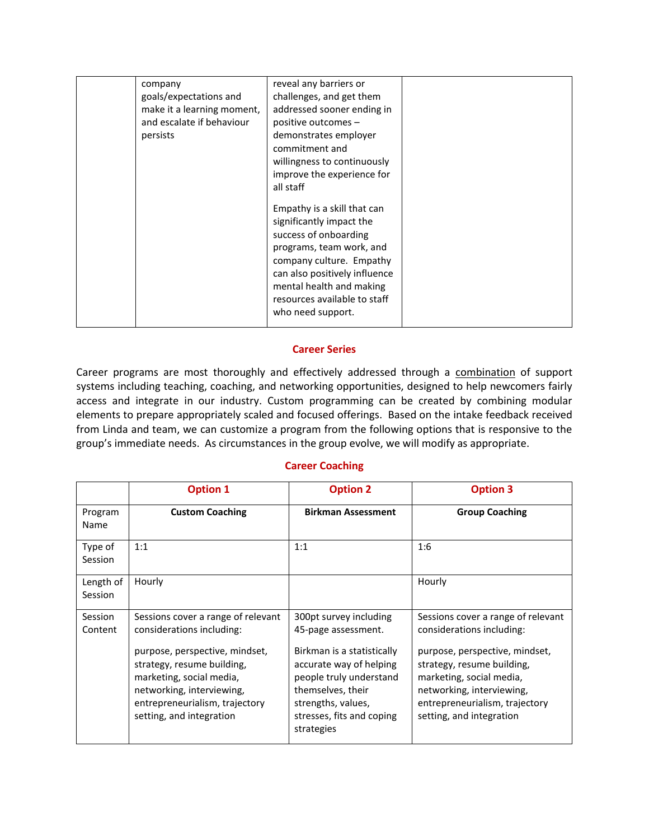| company                    | reveal any barriers or        |  |
|----------------------------|-------------------------------|--|
| goals/expectations and     | challenges, and get them      |  |
| make it a learning moment, | addressed sooner ending in    |  |
| and escalate if behaviour  | positive outcomes -           |  |
| persists                   | demonstrates employer         |  |
|                            | commitment and                |  |
|                            | willingness to continuously   |  |
|                            | improve the experience for    |  |
|                            | all staff                     |  |
|                            |                               |  |
|                            | Empathy is a skill that can   |  |
|                            | significantly impact the      |  |
|                            | success of onboarding         |  |
|                            | programs, team work, and      |  |
|                            | company culture. Empathy      |  |
|                            | can also positively influence |  |
|                            | mental health and making      |  |
|                            | resources available to staff  |  |
|                            | who need support.             |  |
|                            |                               |  |

### **Career Series**

Career programs are most thoroughly and effectively addressed through a combination of support systems including teaching, coaching, and networking opportunities, designed to help newcomers fairly access and integrate in our industry. Custom programming can be created by combining modular elements to prepare appropriately scaled and focused offerings. Based on the intake feedback received from Linda and team, we can customize a program from the following options that is responsive to the group's immediate needs. As circumstances in the group evolve, we will modify as appropriate.

### **Career Coaching**

|                      | <b>Option 1</b>                                                                                                                                                                                                                                        | <b>Option 2</b>                                                                                                                                                                                                         | <b>Option 3</b>                                                                                                                                                                                                                                        |
|----------------------|--------------------------------------------------------------------------------------------------------------------------------------------------------------------------------------------------------------------------------------------------------|-------------------------------------------------------------------------------------------------------------------------------------------------------------------------------------------------------------------------|--------------------------------------------------------------------------------------------------------------------------------------------------------------------------------------------------------------------------------------------------------|
| Program<br>Name      | <b>Custom Coaching</b>                                                                                                                                                                                                                                 | <b>Birkman Assessment</b>                                                                                                                                                                                               | <b>Group Coaching</b>                                                                                                                                                                                                                                  |
| Type of<br>Session   | 1:1                                                                                                                                                                                                                                                    | 1:1                                                                                                                                                                                                                     | 1:6                                                                                                                                                                                                                                                    |
| Length of<br>Session | Hourly                                                                                                                                                                                                                                                 |                                                                                                                                                                                                                         | Hourly                                                                                                                                                                                                                                                 |
| Session<br>Content   | Sessions cover a range of relevant<br>considerations including:<br>purpose, perspective, mindset,<br>strategy, resume building,<br>marketing, social media,<br>networking, interviewing,<br>entrepreneurialism, trajectory<br>setting, and integration | 300pt survey including<br>45-page assessment.<br>Birkman is a statistically<br>accurate way of helping<br>people truly understand<br>themselves, their<br>strengths, values,<br>stresses, fits and coping<br>strategies | Sessions cover a range of relevant<br>considerations including:<br>purpose, perspective, mindset,<br>strategy, resume building,<br>marketing, social media,<br>networking, interviewing,<br>entrepreneurialism, trajectory<br>setting, and integration |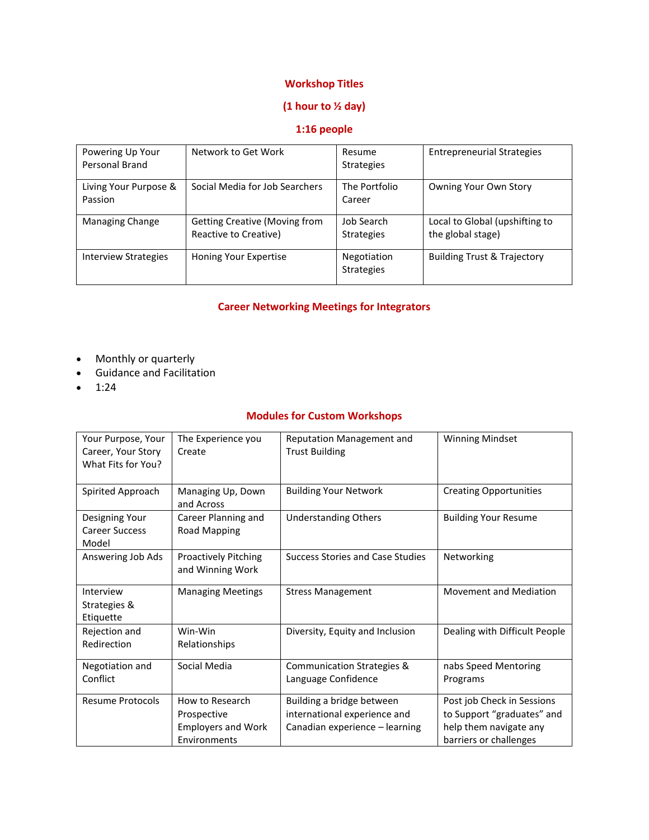## **Workshop Titles**

## **(1 hour to ½ day)**

## **1:16 people**

| Powering Up Your<br>Personal Brand | Network to Get Work                                           | Resume<br><b>Strategies</b>      | <b>Entrepreneurial Strategies</b>                   |
|------------------------------------|---------------------------------------------------------------|----------------------------------|-----------------------------------------------------|
| Living Your Purpose &<br>Passion   | Social Media for Job Searchers                                | The Portfolio<br>Career          | Owning Your Own Story                               |
| Managing Change                    | <b>Getting Creative (Moving from</b><br>Reactive to Creative) | Job Search<br><b>Strategies</b>  | Local to Global (upshifting to<br>the global stage) |
| <b>Interview Strategies</b>        | Honing Your Expertise                                         | Negotiation<br><b>Strategies</b> | <b>Building Trust &amp; Trajectory</b>              |

# **Career Networking Meetings for Integrators**

- Monthly or quarterly
- Guidance and Facilitation
- $1:24$

# **Modules for Custom Workshops**

| Your Purpose, Your    | The Experience you          | <b>Reputation Management and</b> | <b>Winning Mindset</b>        |
|-----------------------|-----------------------------|----------------------------------|-------------------------------|
| Career, Your Story    | Create                      | <b>Trust Building</b>            |                               |
| What Fits for You?    |                             |                                  |                               |
|                       |                             |                                  |                               |
|                       |                             |                                  |                               |
| Spirited Approach     | Managing Up, Down           | <b>Building Your Network</b>     | <b>Creating Opportunities</b> |
|                       | and Across                  |                                  |                               |
| Designing Your        | Career Planning and         | <b>Understanding Others</b>      | <b>Building Your Resume</b>   |
| <b>Career Success</b> | Road Mapping                |                                  |                               |
| Model                 |                             |                                  |                               |
| Answering Job Ads     | <b>Proactively Pitching</b> | Success Stories and Case Studies | Networking                    |
|                       | and Winning Work            |                                  |                               |
|                       |                             |                                  |                               |
| Interview             | <b>Managing Meetings</b>    | <b>Stress Management</b>         | <b>Movement and Mediation</b> |
| Strategies &          |                             |                                  |                               |
| Etiquette             |                             |                                  |                               |
| Rejection and         | Win-Win                     | Diversity, Equity and Inclusion  | Dealing with Difficult People |
| Redirection           | Relationships               |                                  |                               |
|                       |                             |                                  |                               |
| Negotiation and       | Social Media                | Communication Strategies &       | nabs Speed Mentoring          |
| Conflict              |                             | Language Confidence              | Programs                      |
|                       |                             |                                  |                               |
| Resume Protocols      | How to Research             | Building a bridge between        | Post job Check in Sessions    |
|                       | Prospective                 | international experience and     | to Support "graduates" and    |
|                       | <b>Employers and Work</b>   | Canadian experience - learning   | help them navigate any        |
|                       | Environments                |                                  | barriers or challenges        |